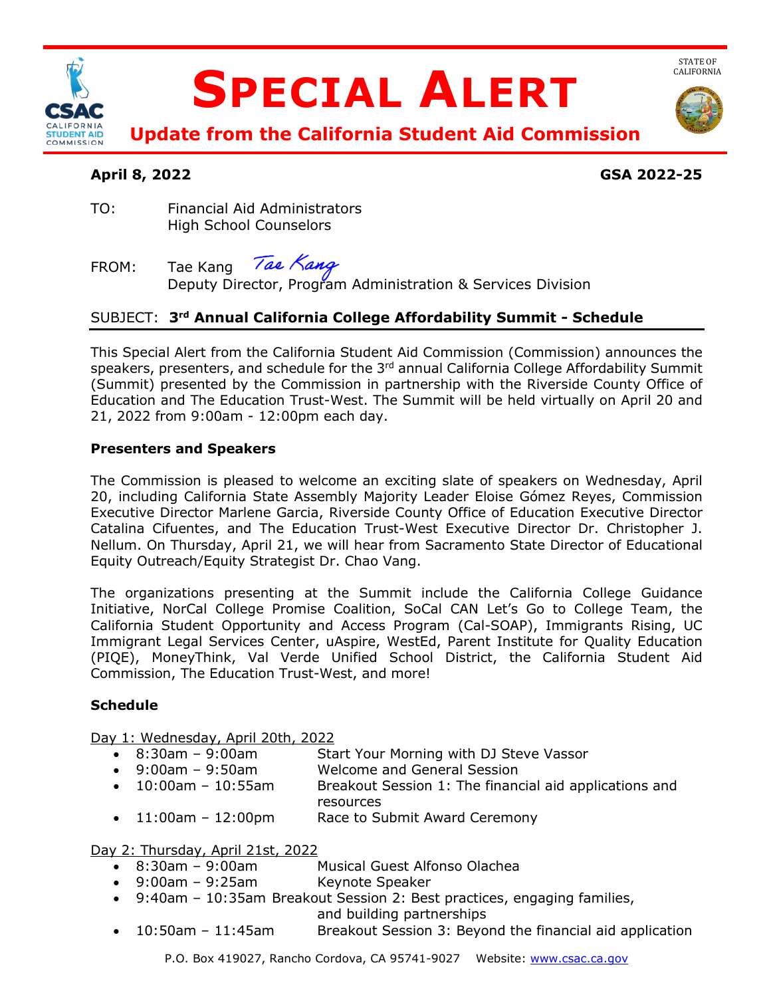

# **SPECIAL ALERT**



STATE OF<br>CALIFORNIA

**Update from the California Student Aid Commission** 

# **April 8, 2022 GSA 2022-25**

TO: Financial Aid Administrators High School Counselors

## Tae Kang FROM: Tae Kang *Tae Kang*<br>Deputy Director, Program Administration & Services Division

# SUBJECT: **3rd Annual California College Affordability Summit - Schedule**

 This Special Alert from the California Student Aid Commission (Commission) announces the speakers, presenters, and schedule for the 3<sup>rd</sup> annual California College Affordability Summit (Summit) presented by the Commission in partnership with the Riverside County Office of Education and The Education Trust-West. The Summit will be held virtually on April 20 and 21, 2022 from 9:00am - 12:00pm each day.

### **Presenters and Speakers**

 The Commission is pleased to welcome an exciting slate of speakers on Wednesday, April 20, including California State Assembly Majority Leader Eloise Gómez Reyes, Commission Executive Director Marlene Garcia, Riverside County Office of Education Executive Director Equity Outreach/Equity Strategist Dr. Chao Vang. Catalina Cifuentes, and The Education Trust-West Executive Director Dr. Christopher J. Nellum. On Thursday, April 21, we will hear from Sacramento State Director of Educational

 The organizations presenting at the Summit include the California College Guidance California Student Opportunity and Access Program (Cal-SOAP), Immigrants Rising, UC Immigrant Legal Services Center, uAspire, WestEd, Parent Institute for Quality Education Initiative, NorCal College Promise Coalition, SoCal CAN Let's Go to College Team, the (PIQE), MoneyThink, Val Verde Unified School District, the California Student Aid Commission, The Education Trust-West, and more!

### **Schedule**

Day 1: Wednesday, April 20th, 2022

- $\bullet$  8:30am 9:00am Start Your Morning with DJ Steve Vassor
- $-9:00am 9:50am$ Welcome and General Session
- $10:00$ am  $10:55$ am Breakout Session 1: The financial aid applications and resources
- 11:00am 12:00pm Race to Submit Award Ceremony

Day 2: Thursday, April 21st, 2022

- $\bullet$  8:30am 9:00am Musical Guest Alfonso Olachea
- 9:00am 9:25am Keynote Speaker
- 9:40am 10:35am Breakout Session 2: Best practices, engaging families,

and building partnerships

 $\bullet$  10:50am - 11:45am Breakout Session 3: Beyond the financial aid application